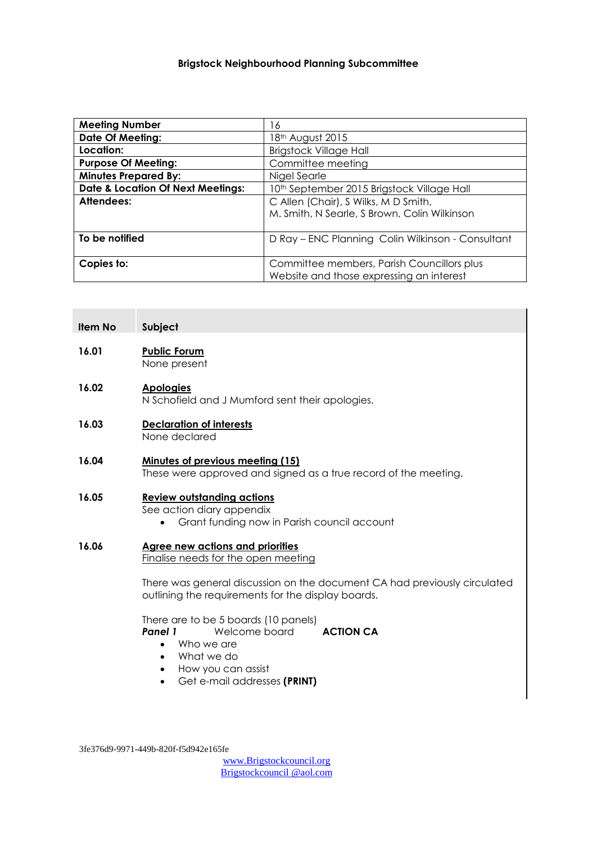#### **Brigstock Neighbourhood Planning Subcommittee**

| <b>Meeting Number</b>                        | 16                                                |
|----------------------------------------------|---------------------------------------------------|
| <b>Date Of Meeting:</b>                      | 18 <sup>th</sup> August 2015                      |
| Location:                                    | <b>Brigstock Village Hall</b>                     |
| <b>Purpose Of Meeting:</b>                   | Committee meeting                                 |
| <b>Minutes Prepared By:</b>                  | Nigel Searle                                      |
| <b>Date &amp; Location Of Next Meetings:</b> | 10th September 2015 Brigstock Village Hall        |
| Attendees:                                   | C Allen (Chair), S Wilks, M D Smith,              |
|                                              | M. Smith, N Searle, S Brown, Colin Wilkinson      |
|                                              |                                                   |
| To be notified                               | D Ray - ENC Planning Colin Wilkinson - Consultant |
|                                              |                                                   |
| Copies to:                                   | Committee members, Parish Councillors plus        |
|                                              | Website and those expressing an interest          |

#### **Item No Subject**

**16.01 Public Forum** None present

#### **16.02 Apologies**

N Schofield and J Mumford sent their apologies.

- **16.03 Declaration of interests** None declared
- **16.04 Minutes of previous meeting (15)** These were approved and signed as a true record of the meeting.

### **16.05 Review outstanding actions**

See action diary appendix

Grant funding now in Parish council account

#### **16.06 Agree new actions and priorities**

Finalise needs for the open meeting

There was general discussion on the document CA had previously circulated outlining the requirements for the display boards.

There are to be 5 boards (10 panels) **Panel 1** Welcome board **ACTION CA** 

- Who we are
- What we do
- How you can assist
- Get e-mail addresses **(PRINT)**

3fe376d9-9971-449b-820f-f5d942e165fe

[www.Brigstockcouncil.org](http://www.brigstockcouncil.org/) Brigstockcouncil @aol.com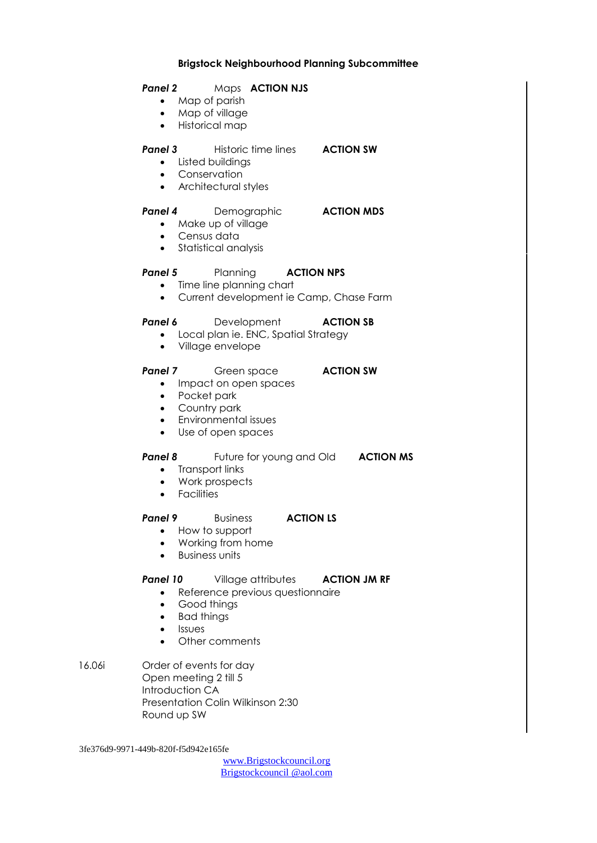#### **Brigstock Neighbourhood Planning Subcommittee**

#### *Panel 2* Maps **ACTION NJS**

- Map of parish
- Map of village
- Historical map

#### **Panel 3** Historic time lines **ACTION SW**

- Listed buildings
- **•** Conservation
- Architectural styles

#### **Panel 4** Demographic **ACTION MDS**

- Make up of village
- Census data
- Statistical analysis

#### **Panel 5** Planning **ACTION NPS**

- Time line planning chart
- Current development ie Camp, Chase Farm

#### **Panel 6** Development **ACTION SB**

- Local plan ie. ENC, Spatial Strategy
- Village envelope

#### **Panel 7** Green space **ACTION SW**

- Impact on open spaces
- Pocket park
- Country park
- Environmental issues
- Use of open spaces

#### **Panel 8** Future for young and Old **ACTION MS**

- Transport links
- Work prospects
- **•** Facilities

#### **Panel 9** Business **ACTION LS**

- How to support
- Working from home
- Business units

#### **Panel 10** Village attributes **ACTION JM RF**

- Reference previous questionnaire
- Good things
- Bad things
- Issues
- Other comments
- 16.06i Order of events for day Open meeting 2 till 5 Introduction CA Presentation Colin Wilkinson 2:30 Round up SW

3fe376d9-9971-449b-820f-f5d942e165fe

[www.Brigstockcouncil.org](http://www.brigstockcouncil.org/) Brigstockcouncil @aol.com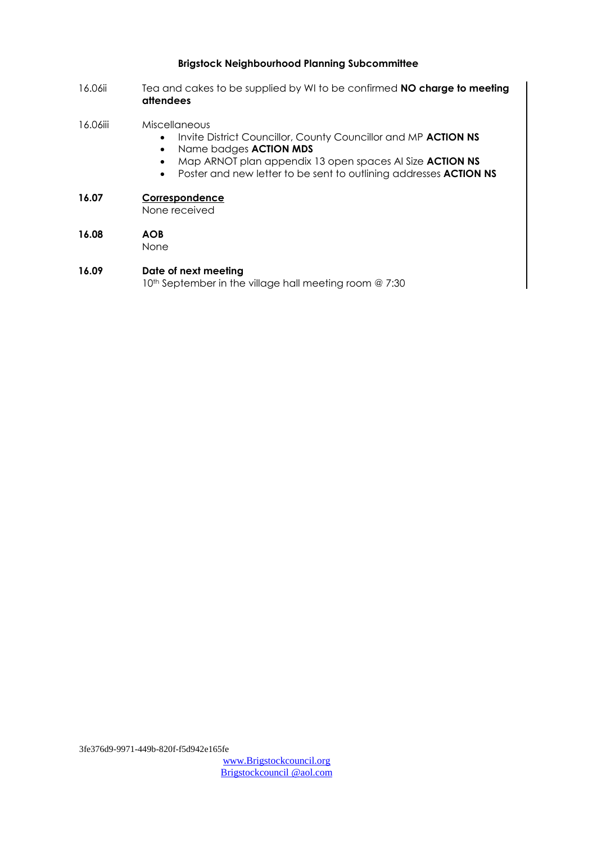#### **Brigstock Neighbourhood Planning Subcommittee**

- 16.06ii Tea and cakes to be supplied by WI to be confirmed **NO charge to meeting attendees**
- 16.06iii Miscellaneous
	- **•** Invite District Councillor, County Councillor and MP ACTION NS
	- Name badges **ACTION MDS**
	- Map ARNOT plan appendix 13 open spaces AI Size **ACTION NS**
	- Poster and new letter to be sent to outlining addresses **ACTION NS**
- **16.07 Correspondence**

None received

- **16.08 AOB**  None
- **16.09 Date of next meeting** 10<sup>th</sup> September in the village hall meeting room @ 7:30

3fe376d9-9971-449b-820f-f5d942e165fe

[www.Brigstockcouncil.org](http://www.brigstockcouncil.org/) Brigstockcouncil @aol.com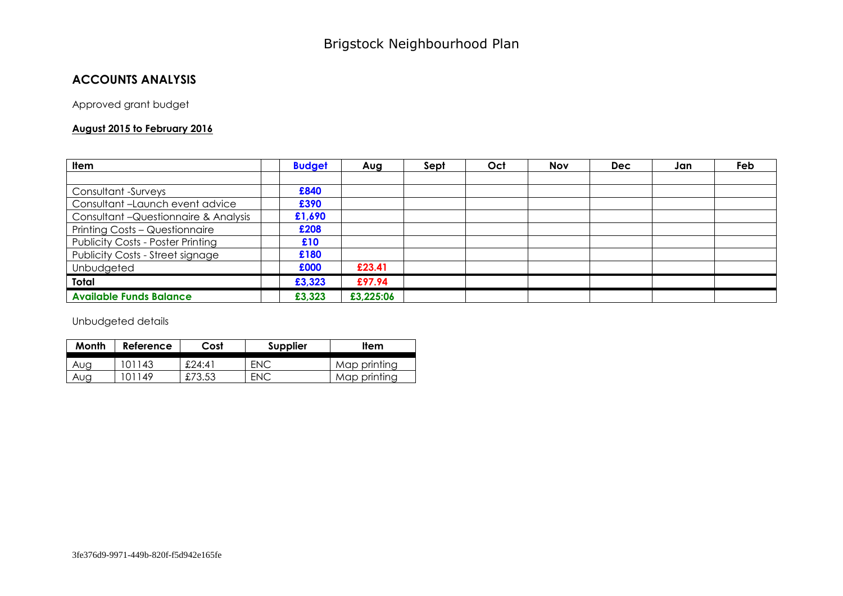## **ACCOUNTS ANALYSIS**

Approved grant budget

#### **August 2015 to February 2016**

| Item                                     | <b>Budget</b> | Aug       | Sept | Oct | <b>Nov</b> | <b>Dec</b> | Jan | Feb |
|------------------------------------------|---------------|-----------|------|-----|------------|------------|-----|-----|
|                                          |               |           |      |     |            |            |     |     |
| Consultant -Surveys                      | £840          |           |      |     |            |            |     |     |
| Consultant-Launch event advice           | £390          |           |      |     |            |            |     |     |
| Consultant - Questionnaire & Analysis    | £1,690        |           |      |     |            |            |     |     |
| Printing Costs - Questionnaire           | £208          |           |      |     |            |            |     |     |
| <b>Publicity Costs - Poster Printing</b> | £10           |           |      |     |            |            |     |     |
| Publicity Costs - Street signage         | £180          |           |      |     |            |            |     |     |
| Unbudgeted                               | £000          | £23.41    |      |     |            |            |     |     |
| Total                                    | £3,323        | £97.94    |      |     |            |            |     |     |
| <b>Available Funds Balance</b>           | £3,323        | £3,225:06 |      |     |            |            |     |     |

Unbudgeted details

| Month | Reference | Cost   | Supplier | Item         |
|-------|-----------|--------|----------|--------------|
| Aug   | 101143    | £24:41 | ENC      | Map printing |
| Aug   | '01149    | £73.53 | ENC      | Map printing |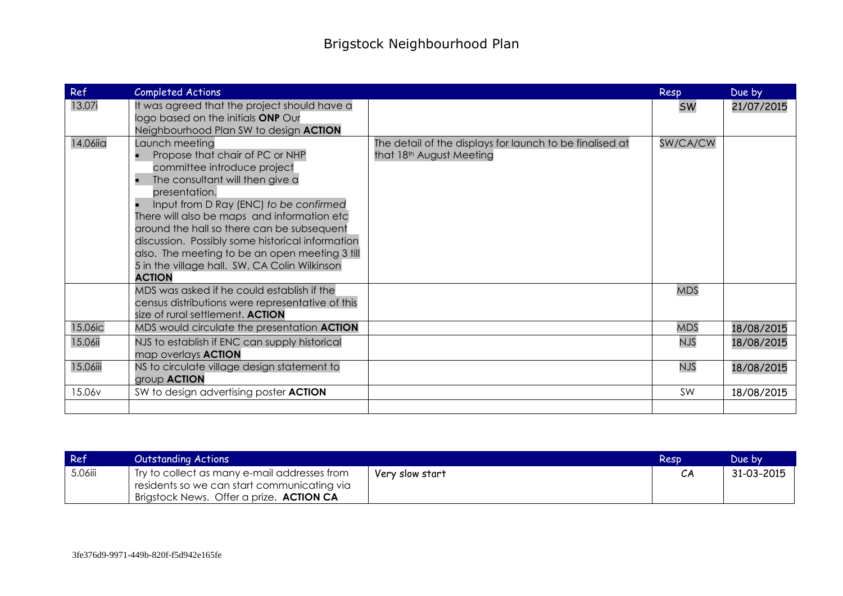| Ref      | Completed Actions                                                                                                                                                                                                                                                                                                                                                                                                                                                             |                                                                                      | Resp       | Due by     |
|----------|-------------------------------------------------------------------------------------------------------------------------------------------------------------------------------------------------------------------------------------------------------------------------------------------------------------------------------------------------------------------------------------------------------------------------------------------------------------------------------|--------------------------------------------------------------------------------------|------------|------------|
| 13.07i   | It was agreed that the project should have a<br>logo based on the initials ONP Our<br>Neighbourhood Plan SW to design ACTION                                                                                                                                                                                                                                                                                                                                                  |                                                                                      | <b>SW</b>  | 21/07/2015 |
| 14.06iia | Launch meeting<br>Propose that chair of PC or NHP<br>$\bullet$<br>committee introduce project<br>The consultant will then give a<br>$\bullet$<br>presentation.<br>Input from D Ray (ENC) to be confirmed<br>There will also be maps and information etc<br>around the hall so there can be subsequent<br>discussion. Possibly some historical information<br>also. The meeting to be an open meeting 3 till<br>5 in the village hall. SW, CA Colin Wilkinson<br><b>ACTION</b> | The detail of the displays for launch to be finalised at<br>that 18th August Meeting | SW/CA/CW   |            |
|          | MDS was asked if he could establish if the<br>census distributions were representative of this<br>size of rural settlement. ACTION                                                                                                                                                                                                                                                                                                                                            |                                                                                      | <b>MDS</b> |            |
| 15.06ic  | MDS would circulate the presentation ACTION                                                                                                                                                                                                                                                                                                                                                                                                                                   |                                                                                      | <b>MDS</b> | 18/08/2015 |
| 15.06ii  | NJS to establish if ENC can supply historical<br>map overlays <b>ACTION</b>                                                                                                                                                                                                                                                                                                                                                                                                   |                                                                                      | <b>NJS</b> | 18/08/2015 |
| 15.06iii | NS to circulate village design statement to<br>group <b>ACTION</b>                                                                                                                                                                                                                                                                                                                                                                                                            |                                                                                      | <b>NJS</b> | 18/08/2015 |
| 15.06v   | SW to design advertising poster <b>ACTION</b>                                                                                                                                                                                                                                                                                                                                                                                                                                 |                                                                                      | SW         | 18/08/2015 |
|          |                                                                                                                                                                                                                                                                                                                                                                                                                                                                               |                                                                                      |            |            |

| Ref     | Outstanding Actions                                                                          |                 | Resp | Due bv     |
|---------|----------------------------------------------------------------------------------------------|-----------------|------|------------|
| 5.06iii | 'Try to collect as many e-mail addresses from<br>residents so we can start communicating via | Very slow start |      | 31-03-2015 |
|         | Brigstock News. Offer a prize. <b>ACTION CA</b>                                              |                 |      |            |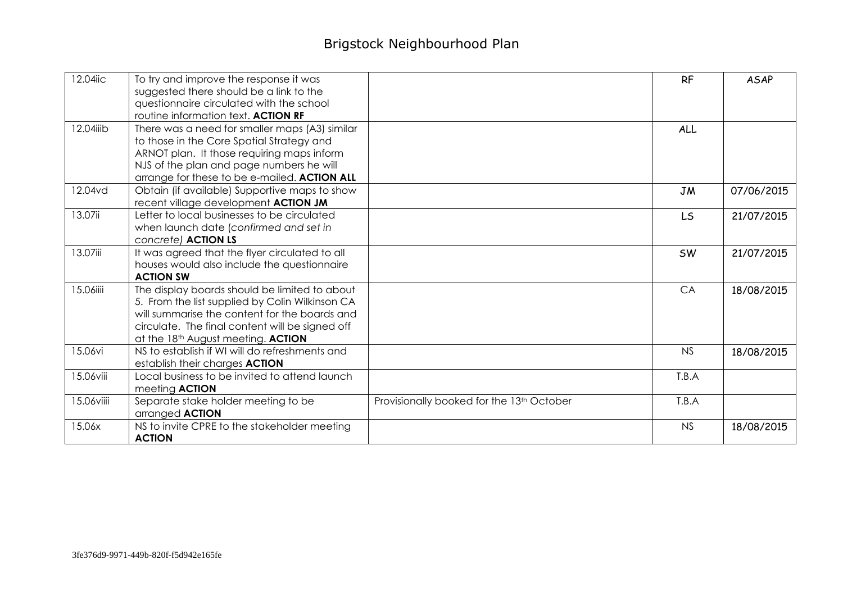# Brigstock Neighbourhood Plan

| 12.04iic   | To try and improve the response it was                                                 |                                           | <b>RF</b> | <b>ASAP</b> |
|------------|----------------------------------------------------------------------------------------|-------------------------------------------|-----------|-------------|
|            | suggested there should be a link to the<br>questionnaire circulated with the school    |                                           |           |             |
|            | routine information text. ACTION RF                                                    |                                           |           |             |
| 12.04iiib  | There was a need for smaller maps (A3) similar                                         |                                           | ALL       |             |
|            | to those in the Core Spatial Strategy and                                              |                                           |           |             |
|            | ARNOT plan. It those requiring maps inform                                             |                                           |           |             |
|            | NJS of the plan and page numbers he will                                               |                                           |           |             |
|            | arrange for these to be e-mailed. ACTION ALL                                           |                                           |           |             |
| 12.04vd    | Obtain (if available) Supportive maps to show                                          |                                           | <b>JM</b> | 07/06/2015  |
|            | recent village development ACTION JM                                                   |                                           |           |             |
| 13.07ii    | Letter to local businesses to be circulated                                            |                                           | <b>LS</b> | 21/07/2015  |
|            | when launch date (confirmed and set in                                                 |                                           |           |             |
|            | concrete) ACTION LS                                                                    |                                           |           |             |
| 13.07iii   | It was agreed that the flyer circulated to all                                         |                                           | <b>SW</b> | 21/07/2015  |
|            | houses would also include the questionnaire                                            |                                           |           |             |
|            | <b>ACTION SW</b>                                                                       |                                           |           |             |
| 15.06iiii  | The display boards should be limited to about                                          |                                           | CA        | 18/08/2015  |
|            | 5. From the list supplied by Colin Wilkinson CA                                        |                                           |           |             |
|            | will summarise the content for the boards and                                          |                                           |           |             |
|            | circulate. The final content will be signed off                                        |                                           |           |             |
|            |                                                                                        |                                           |           |             |
| 15.06vi    | at the 18th August meeting. ACTION<br>NS to establish if WI will do refreshments and   |                                           | <b>NS</b> |             |
|            |                                                                                        |                                           |           | 18/08/2015  |
| 15.06viii  | establish their charges <b>ACTION</b><br>Local business to be invited to attend launch |                                           | T.B.A     |             |
|            |                                                                                        |                                           |           |             |
|            | meeting <b>ACTION</b>                                                                  |                                           |           |             |
| 15.06viiii | Separate stake holder meeting to be                                                    | Provisionally booked for the 13th October | T.B.A     |             |
|            | arranged <b>ACTION</b>                                                                 |                                           |           |             |
| 15.06x     | NS to invite CPRE to the stakeholder meeting<br><b>ACTION</b>                          |                                           | <b>NS</b> | 18/08/2015  |
|            |                                                                                        |                                           |           |             |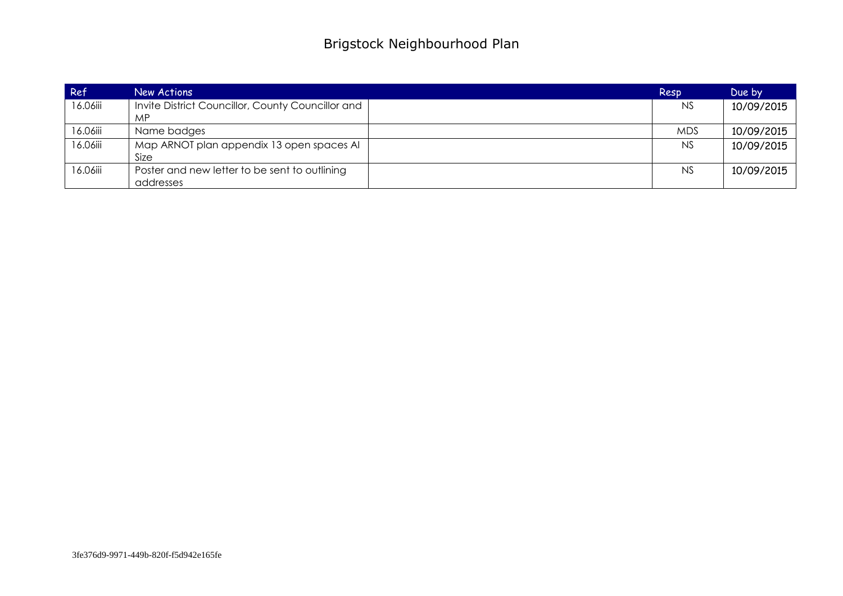| Ref      | New Actions                                             | Resp       | Due by     |
|----------|---------------------------------------------------------|------------|------------|
| 16.06iii | Invite District Councillor, County Councillor and<br>MP | <b>NS</b>  | 10/09/2015 |
| 16.06iii | Name badges                                             | <b>MDS</b> | 10/09/2015 |
| 16.06iii | Map ARNOT plan appendix 13 open spaces AI<br>Size       | <b>NS</b>  | 10/09/2015 |
| 16.06iii | Poster and new letter to be sent to outlining           | <b>NS</b>  | 10/09/2015 |
|          | addresses                                               |            |            |